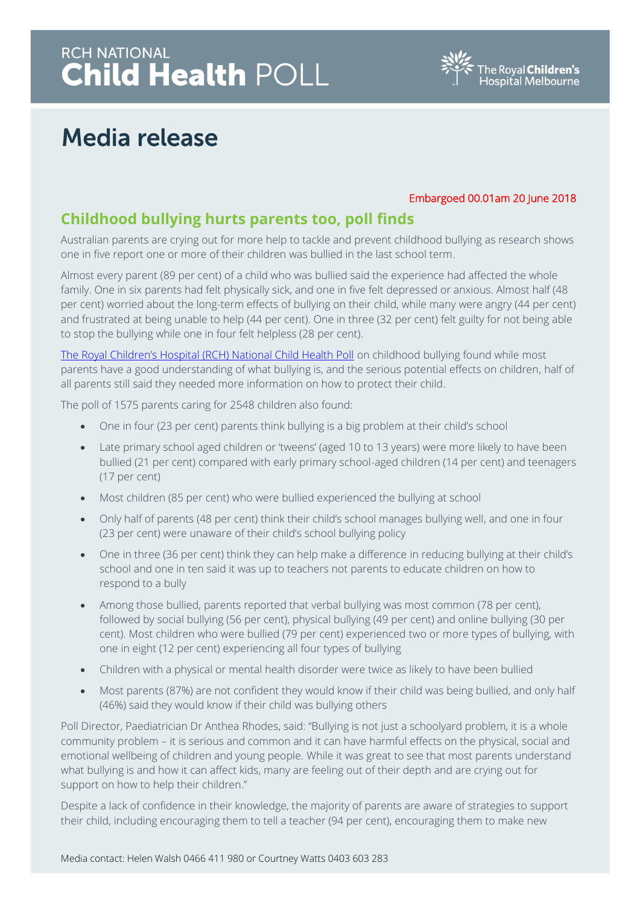# RCH NATIONAL<br>**Child Health** POLL



### **Media release**

#### Embargoed 00.01am 20 June 2018

### **Childhood bullying hurts parents too, poll finds**

Australian parents are crying out for more help to tackle and prevent childhood bullying as research shows one in five report one or more of their children was bullied in the last school term.

Almost every parent (89 per cent) of a child who was bullied said the experience had affected the whole family. One in six parents had felt physically sick, and one in five felt depressed or anxious. Almost half (48 per cent) worried about the long-term effects of bullying on their child, while many were angry (44 per cent) and frustrated at being unable to help (44 per cent). One in three (32 per cent) felt guilty for not being able to stop the bullying while one in four felt helpless (28 per cent).

[The Royal Children's Hospital \(RCH\) National Child Health Poll](http://www.rchpoll.org.au/) on childhood bullying found while most parents have a good understanding of what bullying is, and the serious potential effects on children, half of all parents still said they needed more information on how to protect their child.

The poll of 1575 parents caring for 2548 children also found:

- One in four (23 per cent) parents think bullying is a big problem at their child's school
- Late primary school aged children or 'tweens' (aged 10 to 13 years) were more likely to have been bullied (21 per cent) compared with early primary school-aged children (14 per cent) and teenagers (17 per cent)
- Most children (85 per cent) who were bullied experienced the bullying at school
- Only half of parents (48 per cent) think their child's school manages bullying well, and one in four (23 per cent) were unaware of their child's school bullying policy
- One in three (36 per cent) think they can help make a difference in reducing bullying at their child's school and one in ten said it was up to teachers not parents to educate children on how to respond to a bully
- Among those bullied, parents reported that verbal bullying was most common (78 per cent), followed by social bullying (56 per cent), physical bullying (49 per cent) and online bullying (30 per cent). Most children who were bullied (79 per cent) experienced two or more types of bullying, with one in eight (12 per cent) experiencing all four types of bullying
- Children with a physical or mental health disorder were twice as likely to have been bullied
- Most parents (87%) are not confident they would know if their child was being bullied, and only half (46%) said they would know if their child was bullying others

Poll Director, Paediatrician Dr Anthea Rhodes, said: "Bullying is not just a schoolyard problem, it is a whole community problem – it is serious and common and it can have harmful effects on the physical, social and emotional wellbeing of children and young people. While it was great to see that most parents understand what bullying is and how it can affect kids, many are feeling out of their depth and are crying out for support on how to help their children.''

Despite a lack of confidence in their knowledge, the majority of parents are aware of strategies to support their child, including encouraging them to tell a teacher (94 per cent), encouraging them to make new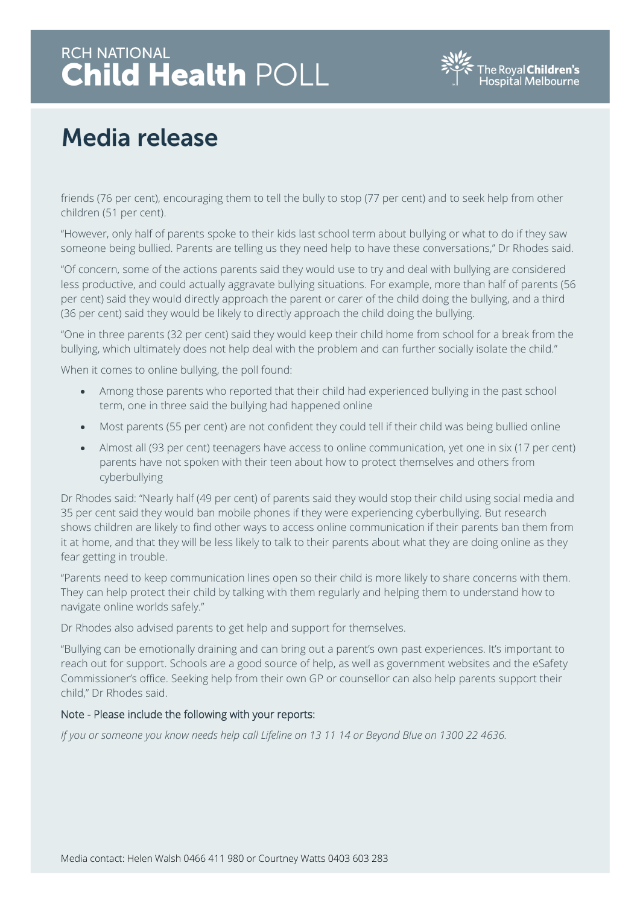# RCH NATIONAL<br>**Child Health** POLL



## **Media release**

friends (76 per cent), encouraging them to tell the bully to stop (77 per cent) and to seek help from other children (51 per cent).

"However, only half of parents spoke to their kids last school term about bullying or what to do if they saw someone being bullied. Parents are telling us they need help to have these conversations,'' Dr Rhodes said.

"Of concern, some of the actions parents said they would use to try and deal with bullying are considered less productive, and could actually aggravate bullying situations. For example, more than half of parents (56 per cent) said they would directly approach the parent or carer of the child doing the bullying, and a third (36 per cent) said they would be likely to directly approach the child doing the bullying.

"One in three parents (32 per cent) said they would keep their child home from school for a break from the bullying, which ultimately does not help deal with the problem and can further socially isolate the child."

When it comes to online bullying, the poll found:

- Among those parents who reported that their child had experienced bullying in the past school term, one in three said the bullying had happened online
- Most parents (55 per cent) are not confident they could tell if their child was being bullied online
- Almost all (93 per cent) teenagers have access to online communication, yet one in six (17 per cent) parents have not spoken with their teen about how to protect themselves and others from cyberbullying

Dr Rhodes said: "Nearly half (49 per cent) of parents said they would stop their child using social media and 35 per cent said they would ban mobile phones if they were experiencing cyberbullying. But research shows children are likely to find other ways to access online communication if their parents ban them from it at home, and that they will be less likely to talk to their parents about what they are doing online as they fear getting in trouble.

"Parents need to keep communication lines open so their child is more likely to share concerns with them. They can help protect their child by talking with them regularly and helping them to understand how to navigate online worlds safely."

Dr Rhodes also advised parents to get help and support for themselves.

"Bullying can be emotionally draining and can bring out a parent's own past experiences. It's important to reach out for support. Schools are a good source of help, as well as government websites and the eSafety Commissioner's office. Seeking help from their own GP or counsellor can also help parents support their child," Dr Rhodes said.

#### Note - Please include the following with your reports:

*If you or someone you know needs help call Lifeline on 13 11 14 or Beyond Blue on 1300 22 4636.*